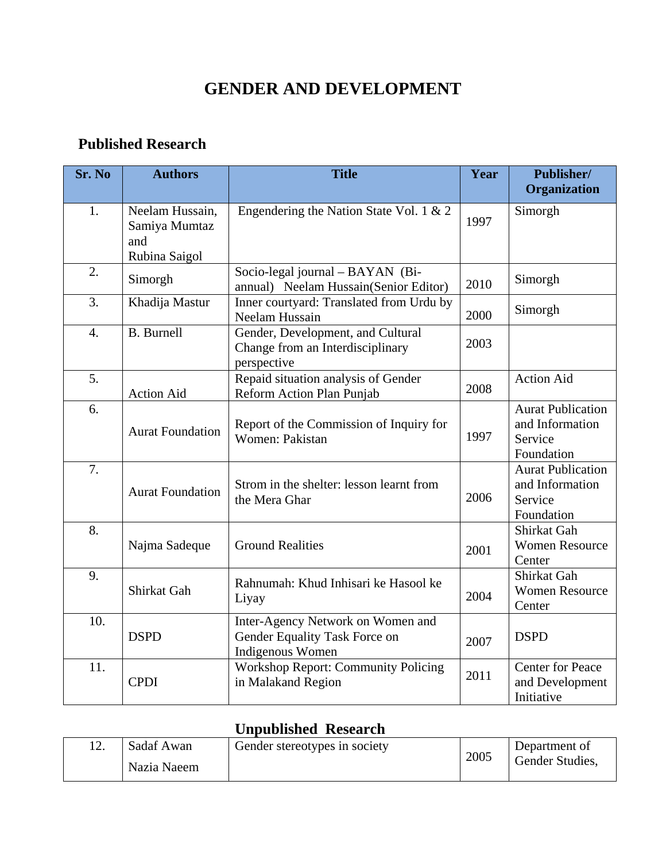## **GENDER AND DEVELOPMENT**

## **Published Research**

| Sr. No | <b>Authors</b>                                           | <b>Title</b>                                                                           | Year | Publisher/<br>Organization                                           |
|--------|----------------------------------------------------------|----------------------------------------------------------------------------------------|------|----------------------------------------------------------------------|
| 1.     | Neelam Hussain,<br>Samiya Mumtaz<br>and<br>Rubina Saigol | Engendering the Nation State Vol. 1 & 2                                                | 1997 | Simorgh                                                              |
| 2.     | Simorgh                                                  | Socio-legal journal - BAYAN (Bi-<br>annual) Neelam Hussain(Senior Editor)              | 2010 | Simorgh                                                              |
| 3.     | Khadija Mastur                                           | Inner courtyard: Translated from Urdu by<br>Neelam Hussain                             | 2000 | Simorgh                                                              |
| 4.     | <b>B.</b> Burnell                                        | Gender, Development, and Cultural<br>Change from an Interdisciplinary<br>perspective   | 2003 |                                                                      |
| 5.     | <b>Action Aid</b>                                        | Repaid situation analysis of Gender<br>Reform Action Plan Punjab                       | 2008 | Action Aid                                                           |
| 6.     | <b>Aurat Foundation</b>                                  | Report of the Commission of Inquiry for<br>Women: Pakistan                             | 1997 | <b>Aurat Publication</b><br>and Information<br>Service<br>Foundation |
| 7.     | <b>Aurat Foundation</b>                                  | Strom in the shelter: lesson learnt from<br>the Mera Ghar                              | 2006 | <b>Aurat Publication</b><br>and Information<br>Service<br>Foundation |
| 8.     | Najma Sadeque                                            | <b>Ground Realities</b>                                                                | 2001 | Shirkat Gah<br><b>Women Resource</b><br>Center                       |
| 9.     | Shirkat Gah                                              | Rahnumah: Khud Inhisari ke Hasool ke<br>Liyay                                          | 2004 | Shirkat Gah<br><b>Women Resource</b><br>Center                       |
| 10.    | <b>DSPD</b>                                              | Inter-Agency Network on Women and<br>Gender Equality Task Force on<br>Indigenous Women | 2007 | <b>DSPD</b>                                                          |
| 11.    | <b>CPDI</b>                                              | <b>Workshop Report: Community Policing</b><br>in Malakand Region                       | 2011 | <b>Center for Peace</b><br>and Development<br>Initiative             |

## **Unpublished Research**

| Sadaf Awan  | Gender stereotypes in society | 2005 | Department of   |
|-------------|-------------------------------|------|-----------------|
| Nazia Naeem |                               |      | Gender Studies, |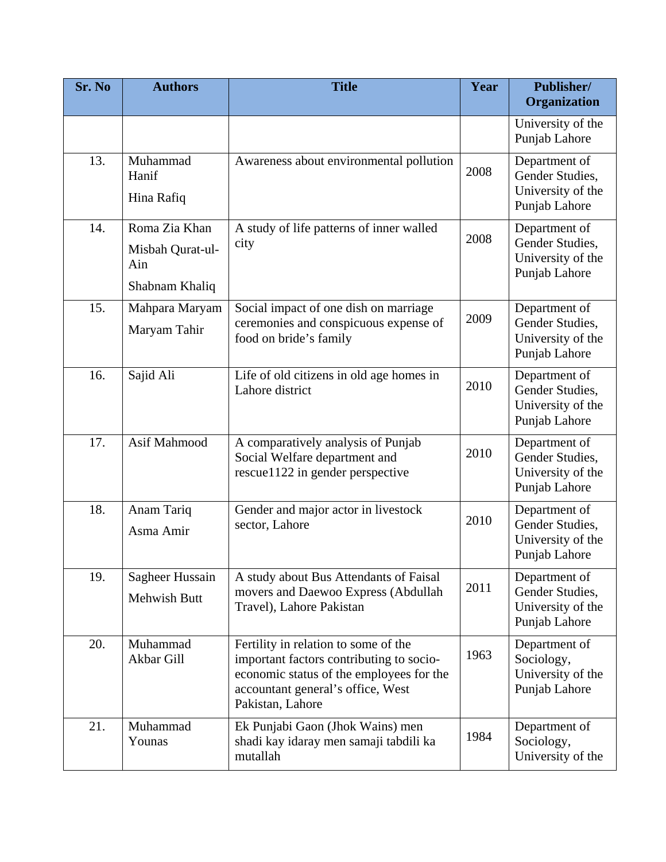| Sr. No | <b>Authors</b>                                             | <b>Title</b>                                                                                                                                                                          | Year | Publisher/<br>Organization                                             |
|--------|------------------------------------------------------------|---------------------------------------------------------------------------------------------------------------------------------------------------------------------------------------|------|------------------------------------------------------------------------|
|        |                                                            |                                                                                                                                                                                       |      | University of the<br>Punjab Lahore                                     |
| 13.    | Muhammad<br>Hanif<br>Hina Rafiq                            | Awareness about environmental pollution                                                                                                                                               | 2008 | Department of<br>Gender Studies,<br>University of the<br>Punjab Lahore |
| 14.    | Roma Zia Khan<br>Misbah Qurat-ul-<br>Ain<br>Shabnam Khaliq | A study of life patterns of inner walled<br>city                                                                                                                                      | 2008 | Department of<br>Gender Studies,<br>University of the<br>Punjab Lahore |
| 15.    | Mahpara Maryam<br>Maryam Tahir                             | Social impact of one dish on marriage<br>ceremonies and conspicuous expense of<br>food on bride's family                                                                              | 2009 | Department of<br>Gender Studies,<br>University of the<br>Punjab Lahore |
| 16.    | Sajid Ali                                                  | Life of old citizens in old age homes in<br>Lahore district                                                                                                                           | 2010 | Department of<br>Gender Studies,<br>University of the<br>Punjab Lahore |
| 17.    | Asif Mahmood                                               | A comparatively analysis of Punjab<br>Social Welfare department and<br>rescue1122 in gender perspective                                                                               | 2010 | Department of<br>Gender Studies,<br>University of the<br>Punjab Lahore |
| 18.    | Anam Tariq<br>Asma Amir                                    | Gender and major actor in livestock<br>sector, Lahore                                                                                                                                 | 2010 | Department of<br>Gender Studies,<br>University of the<br>Punjab Lahore |
| 19.    | Sagheer Hussain<br>Mehwish Butt                            | A study about Bus Attendants of Faisal<br>movers and Daewoo Express (Abdullah<br>Travel), Lahore Pakistan                                                                             | 2011 | Department of<br>Gender Studies,<br>University of the<br>Punjab Lahore |
| 20.    | Muhammad<br>Akbar Gill                                     | Fertility in relation to some of the<br>important factors contributing to socio-<br>economic status of the employees for the<br>accountant general's office, West<br>Pakistan, Lahore | 1963 | Department of<br>Sociology,<br>University of the<br>Punjab Lahore      |
| 21.    | Muhammad<br>Younas                                         | Ek Punjabi Gaon (Jhok Wains) men<br>shadi kay idaray men samaji tabdili ka<br>mutallah                                                                                                | 1984 | Department of<br>Sociology,<br>University of the                       |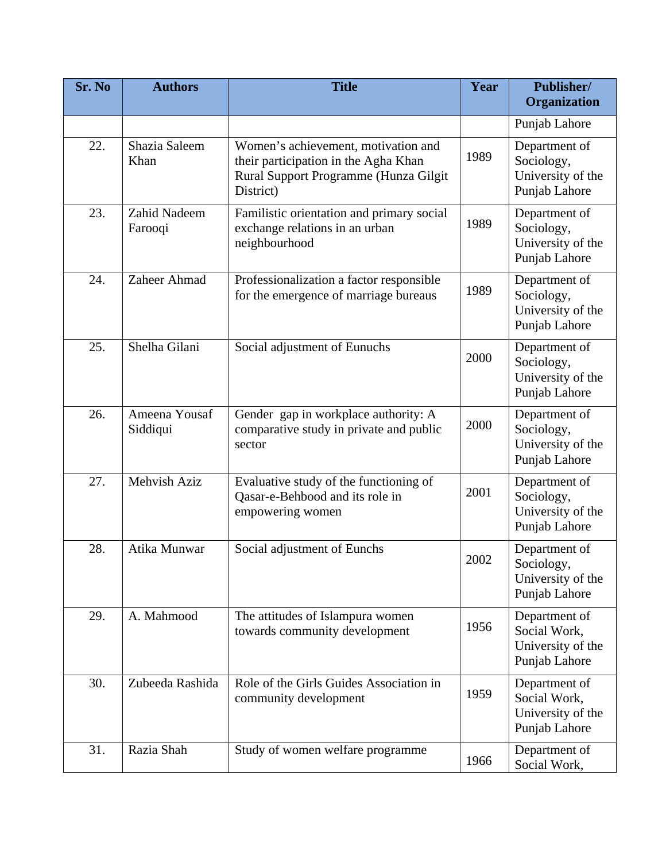| Sr. No | <b>Authors</b>            | <b>Title</b>                                                                                                                      | Year | Publisher/<br>Organization                                          |
|--------|---------------------------|-----------------------------------------------------------------------------------------------------------------------------------|------|---------------------------------------------------------------------|
|        |                           |                                                                                                                                   |      | Punjab Lahore                                                       |
| 22.    | Shazia Saleem<br>Khan     | Women's achievement, motivation and<br>their participation in the Agha Khan<br>Rural Support Programme (Hunza Gilgit<br>District) | 1989 | Department of<br>Sociology,<br>University of the<br>Punjab Lahore   |
| 23.    | Zahid Nadeem<br>Farooqi   | Familistic orientation and primary social<br>exchange relations in an urban<br>neighbourhood                                      | 1989 | Department of<br>Sociology,<br>University of the<br>Punjab Lahore   |
| 24.    | Zaheer Ahmad              | Professionalization a factor responsible<br>for the emergence of marriage bureaus                                                 | 1989 | Department of<br>Sociology,<br>University of the<br>Punjab Lahore   |
| 25.    | Shelha Gilani             | Social adjustment of Eunuchs                                                                                                      | 2000 | Department of<br>Sociology,<br>University of the<br>Punjab Lahore   |
| 26.    | Ameena Yousaf<br>Siddiqui | Gender gap in workplace authority: A<br>comparative study in private and public<br>sector                                         | 2000 | Department of<br>Sociology,<br>University of the<br>Punjab Lahore   |
| 27.    | Mehvish Aziz              | Evaluative study of the functioning of<br>Qasar-e-Behbood and its role in<br>empowering women                                     | 2001 | Department of<br>Sociology,<br>University of the<br>Punjab Lahore   |
| 28.    | Atika Munwar              | Social adjustment of Eunchs                                                                                                       | 2002 | Department of<br>Sociology,<br>University of the<br>Punjab Lahore   |
| 29.    | A. Mahmood                | The attitudes of Islampura women<br>towards community development                                                                 | 1956 | Department of<br>Social Work,<br>University of the<br>Punjab Lahore |
| 30.    | Zubeeda Rashida           | Role of the Girls Guides Association in<br>community development                                                                  | 1959 | Department of<br>Social Work,<br>University of the<br>Punjab Lahore |
| 31.    | Razia Shah                | Study of women welfare programme                                                                                                  | 1966 | Department of<br>Social Work,                                       |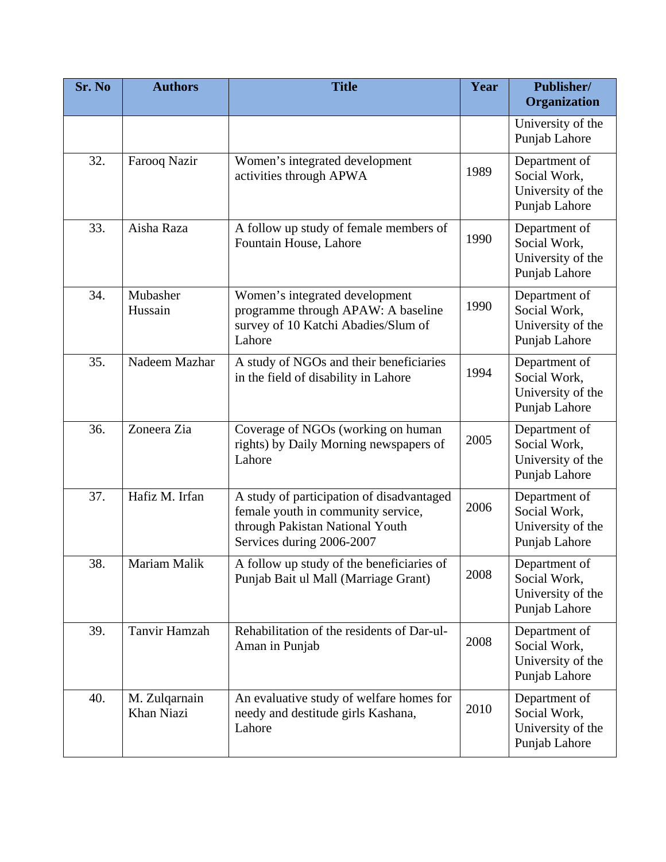| Sr. No | <b>Authors</b>              | <b>Title</b>                                                                                                                                    | Year | Publisher/<br>Organization                                          |
|--------|-----------------------------|-------------------------------------------------------------------------------------------------------------------------------------------------|------|---------------------------------------------------------------------|
|        |                             |                                                                                                                                                 |      | University of the<br>Punjab Lahore                                  |
| 32.    | Farooq Nazir                | Women's integrated development<br>activities through APWA                                                                                       | 1989 | Department of<br>Social Work,<br>University of the<br>Punjab Lahore |
| 33.    | Aisha Raza                  | A follow up study of female members of<br>Fountain House, Lahore                                                                                | 1990 | Department of<br>Social Work,<br>University of the<br>Punjab Lahore |
| 34.    | Mubasher<br>Hussain         | Women's integrated development<br>programme through APAW: A baseline<br>survey of 10 Katchi Abadies/Slum of<br>Lahore                           | 1990 | Department of<br>Social Work,<br>University of the<br>Punjab Lahore |
| 35.    | Nadeem Mazhar               | A study of NGOs and their beneficiaries<br>in the field of disability in Lahore                                                                 | 1994 | Department of<br>Social Work,<br>University of the<br>Punjab Lahore |
| 36.    | Zoneera Zia                 | Coverage of NGOs (working on human<br>rights) by Daily Morning newspapers of<br>Lahore                                                          | 2005 | Department of<br>Social Work,<br>University of the<br>Punjab Lahore |
| 37.    | Hafiz M. Irfan              | A study of participation of disadvantaged<br>female youth in community service,<br>through Pakistan National Youth<br>Services during 2006-2007 | 2006 | Department of<br>Social Work,<br>University of the<br>Punjab Lahore |
| 38.    | Mariam Malik                | A follow up study of the beneficiaries of<br>Punjab Bait ul Mall (Marriage Grant)                                                               | 2008 | Department of<br>Social Work,<br>University of the<br>Punjab Lahore |
| 39.    | Tanvir Hamzah               | Rehabilitation of the residents of Dar-ul-<br>Aman in Punjab                                                                                    | 2008 | Department of<br>Social Work,<br>University of the<br>Punjab Lahore |
| 40.    | M. Zulqarnain<br>Khan Niazi | An evaluative study of welfare homes for<br>needy and destitude girls Kashana,<br>Lahore                                                        | 2010 | Department of<br>Social Work,<br>University of the<br>Punjab Lahore |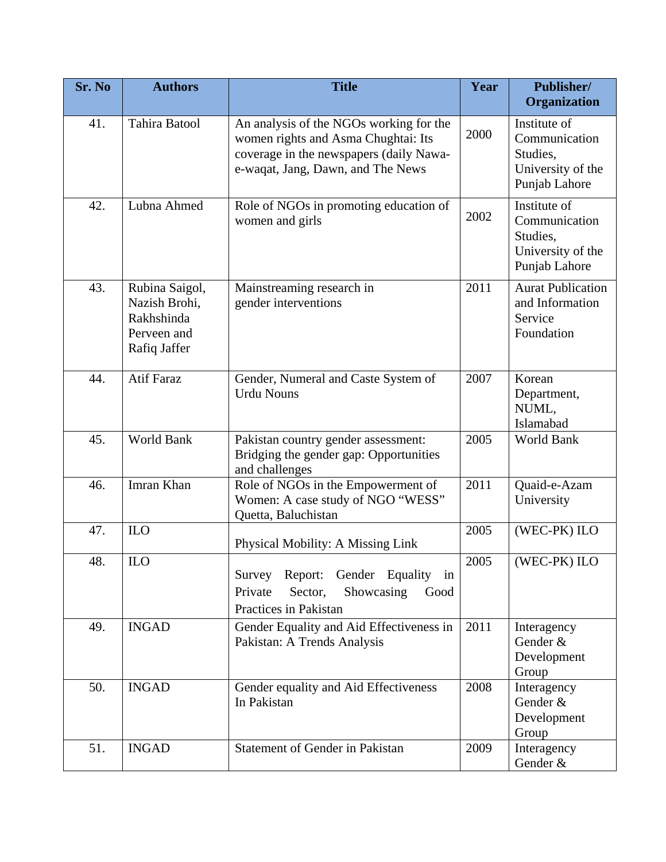| Sr. No | <b>Authors</b>                                                               | <b>Title</b>                                                                                                                                                   | Year | Publisher/<br>Organization                                                      |
|--------|------------------------------------------------------------------------------|----------------------------------------------------------------------------------------------------------------------------------------------------------------|------|---------------------------------------------------------------------------------|
| 41.    | Tahira Batool                                                                | An analysis of the NGOs working for the<br>women rights and Asma Chughtai: Its<br>coverage in the newspapers (daily Nawa-<br>e-waqat, Jang, Dawn, and The News | 2000 | Institute of<br>Communication<br>Studies,<br>University of the<br>Punjab Lahore |
| 42.    | Lubna Ahmed                                                                  | Role of NGOs in promoting education of<br>women and girls                                                                                                      | 2002 | Institute of<br>Communication<br>Studies,<br>University of the<br>Punjab Lahore |
| 43.    | Rubina Saigol,<br>Nazish Brohi,<br>Rakhshinda<br>Perveen and<br>Rafiq Jaffer | Mainstreaming research in<br>gender interventions                                                                                                              | 2011 | <b>Aurat Publication</b><br>and Information<br>Service<br>Foundation            |
| 44.    | <b>Atif Faraz</b>                                                            | Gender, Numeral and Caste System of<br><b>Urdu Nouns</b>                                                                                                       | 2007 | Korean<br>Department,<br>NUML,<br>Islamabad                                     |
| 45.    | World Bank                                                                   | Pakistan country gender assessment:<br>Bridging the gender gap: Opportunities<br>and challenges                                                                | 2005 | World Bank                                                                      |
| 46.    | Imran Khan                                                                   | Role of NGOs in the Empowerment of<br>Women: A case study of NGO "WESS"<br>Quetta, Baluchistan                                                                 | 2011 | Quaid-e-Azam<br>University                                                      |
| 47.    | <b>ILO</b>                                                                   | Physical Mobility: A Missing Link                                                                                                                              | 2005 | (WEC-PK) ILO                                                                    |
| 48.    | <b>ILO</b>                                                                   | Survey Report:<br>Gender Equality<br>in<br>Sector,<br>Showcasing<br>Private<br>Good<br>Practices in Pakistan                                                   | 2005 | (WEC-PK) ILO                                                                    |
| 49.    | <b>INGAD</b>                                                                 | Gender Equality and Aid Effectiveness in<br>Pakistan: A Trends Analysis                                                                                        | 2011 | Interagency<br>Gender &<br>Development<br>Group                                 |
| 50.    | <b>INGAD</b>                                                                 | Gender equality and Aid Effectiveness<br>In Pakistan                                                                                                           | 2008 | Interagency<br>Gender &<br>Development<br>Group                                 |
| 51.    | <b>INGAD</b>                                                                 | Statement of Gender in Pakistan                                                                                                                                | 2009 | Interagency<br>Gender &                                                         |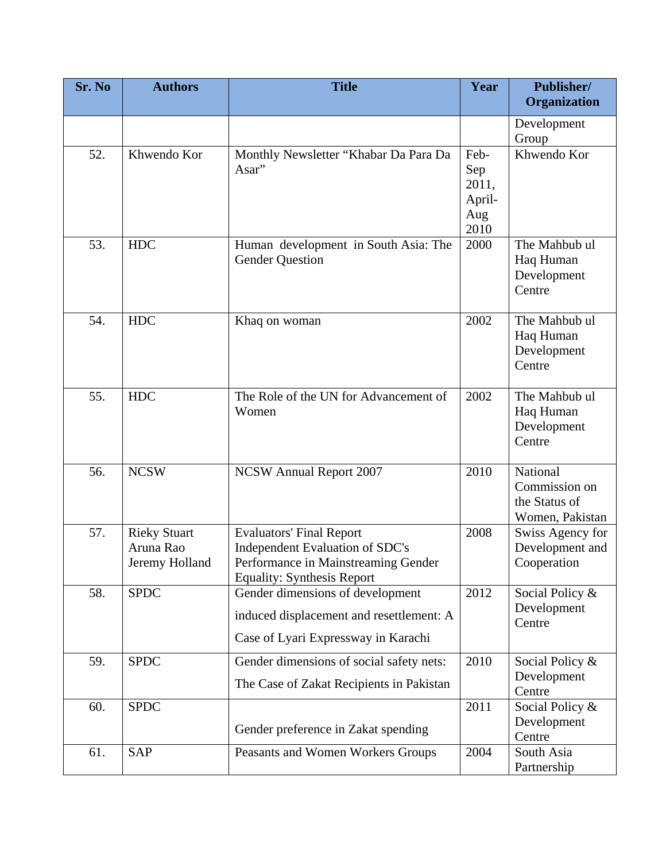| Sr. No | <b>Authors</b>                                     | <b>Title</b>                                                                                                                                   | Year                                          | Publisher/<br>Organization                                    |
|--------|----------------------------------------------------|------------------------------------------------------------------------------------------------------------------------------------------------|-----------------------------------------------|---------------------------------------------------------------|
|        |                                                    |                                                                                                                                                |                                               | Development<br>Group                                          |
| 52.    | Khwendo Kor                                        | Monthly Newsletter "Khabar Da Para Da<br>Asar"                                                                                                 | Feb-<br>Sep<br>2011,<br>April-<br>Aug<br>2010 | Khwendo Kor                                                   |
| 53.    | <b>HDC</b>                                         | Human development in South Asia: The<br><b>Gender Question</b>                                                                                 | 2000                                          | The Mahbub ul<br>Haq Human<br>Development<br>Centre           |
| 54.    | <b>HDC</b>                                         | Khaq on woman                                                                                                                                  | 2002                                          | The Mahbub ul<br>Haq Human<br>Development<br>Centre           |
| 55.    | <b>HDC</b>                                         | The Role of the UN for Advancement of<br>Women                                                                                                 | 2002                                          | The Mahbub ul<br>Haq Human<br>Development<br>Centre           |
| 56.    | <b>NCSW</b>                                        | <b>NCSW</b> Annual Report 2007                                                                                                                 | 2010                                          | National<br>Commission on<br>the Status of<br>Women, Pakistan |
| 57.    | <b>Rieky Stuart</b><br>Aruna Rao<br>Jeremy Holland | <b>Evaluators' Final Report</b><br>Independent Evaluation of SDC's<br>Performance in Mainstreaming Gender<br><b>Equality: Synthesis Report</b> | 2008                                          | Swiss Agency for<br>Development and<br>Cooperation            |
| 58.    | <b>SPDC</b>                                        | Gender dimensions of development<br>induced displacement and resettlement: A<br>Case of Lyari Expressway in Karachi                            | 2012                                          | Social Policy &<br>Development<br>Centre                      |
| 59.    | <b>SPDC</b>                                        | Gender dimensions of social safety nets:<br>The Case of Zakat Recipients in Pakistan                                                           | 2010                                          | Social Policy &<br>Development<br>Centre                      |
| 60.    | <b>SPDC</b>                                        | Gender preference in Zakat spending                                                                                                            | 2011                                          | Social Policy &<br>Development<br>Centre                      |
| 61.    | <b>SAP</b>                                         | Peasants and Women Workers Groups                                                                                                              | 2004                                          | South Asia<br>Partnership                                     |